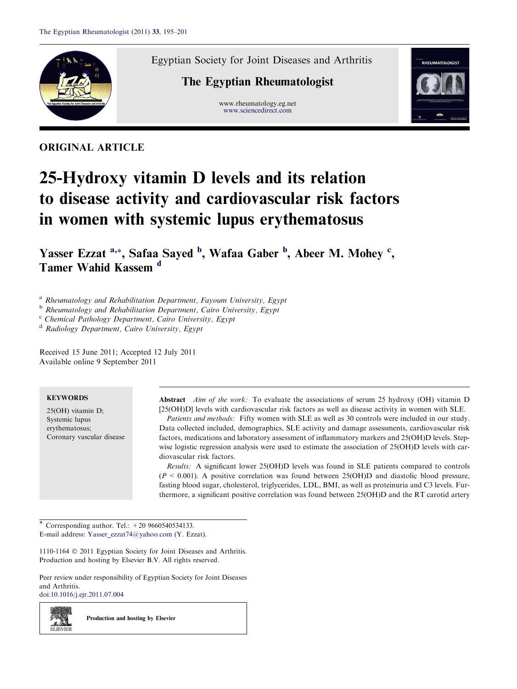

Egyptian Society for Joint Diseases and Arthritis

# The Egyptian Rheumatologist

www.rheumatology.eg.net [www.sciencedirect.com](http://www.sciencedirect.com/science/journal/11101164)



ORIGINAL ARTICLE

# 25-Hydroxy vitamin D levels and its relation to disease activity and cardiovascular risk factors in women with systemic lupus erythematosus

Yasser Ezzat <sup>a,\*</sup>, Safaa Sayed <sup>b</sup>, Wafaa Gaber <sup>b</sup>, Abeer M. Mohey <sup>c</sup>, Tamer Wahid Kassem <sup>d</sup>

<sup>a</sup> Rheumatology and Rehabilitation Department, Fayoum University, Egypt

**b** Rheumatology and Rehabilitation Department, Cairo University, Egypt

<sup>c</sup> Chemical Pathology Department, Cairo University, Egypt

<sup>d</sup> Radiology Department, Cairo University, Egypt

Received 15 June 2011; Accepted 12 July 2011 Available online 9 September 2011

# **KEYWORDS**

25(OH) vitamin D; Systemic lupus erythematosus; Coronary vascular disease Abstract *Aim of the work*: To evaluate the associations of serum 25 hydroxy (OH) vitamin D [25(OH)D] levels with cardiovascular risk factors as well as disease activity in women with SLE. Patients and methods: Fifty women with SLE as well as 30 controls were included in our study. Data collected included, demographics, SLE activity and damage assessments, cardiovascular risk factors, medications and laboratory assessment of inflammatory markers and 25(OH)D levels. Stepwise logistic regression analysis were used to estimate the association of 25(OH)D levels with cardiovascular risk factors.

Results: A significant lower 25(OH)D levels was found in SLE patients compared to controls  $(P \le 0.001)$ . A positive correlation was found between 25(OH)D and diastolic blood pressure, fasting blood sugar, cholesterol, triglycerides, LDL, BMI, as well as proteinuria and C3 levels. Furthermore, a significant positive correlation was found between 25(OH)D and the RT carotid artery

\* Corresponding author. Tel.:  $+209660540534133$ . E-mail address: [Yasser\\_ezzat74@yahoo.com](mailto:Yasser_ezzat74@yahoo.com) (Y. Ezzat).

1110-1164  $\odot$  2011 Egyptian Society for Joint Diseases and Arthritis. Production and hosting by Elsevier B.V. All rights reserved.

Peer review under responsibility of Egyptian Society for Joint Diseases and Arthritis.

doi[:10.1016/j.ejr.2011.07.004](http://dx.doi.org/10.1016/j.ejr.2011.07.004)

z. si **ELSEVIEE**  Production and hosting by Elsevier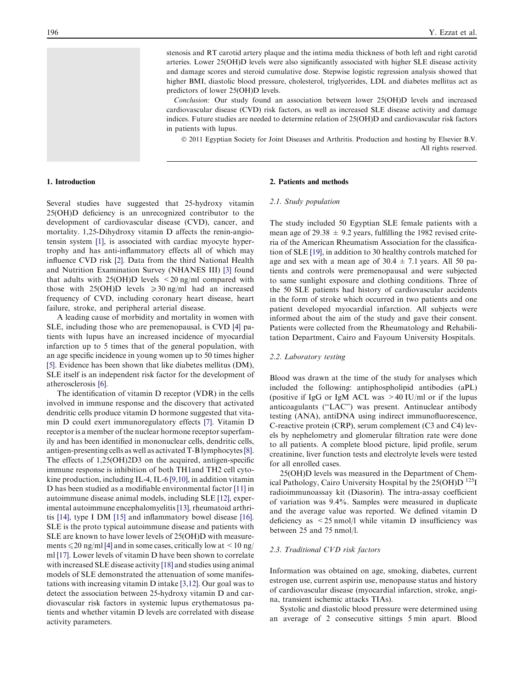stenosis and RT carotid artery plaque and the intima media thickness of both left and right carotid arteries. Lower 25(OH)D levels were also significantly associated with higher SLE disease activity and damage scores and steroid cumulative dose. Stepwise logistic regression analysis showed that higher BMI, diastolic blood pressure, cholesterol, triglycerides, LDL and diabetes mellitus act as predictors of lower 25(OH)D levels.

Conclusion: Our study found an association between lower 25(OH)D levels and increased cardiovascular disease (CVD) risk factors, as well as increased SLE disease activity and damage indices. Future studies are needed to determine relation of 25(OH)D and cardiovascular risk factors in patients with lupus.

© 2011 Egyptian Society for Joint Diseases and Arthritis. Production and hosting by Elsevier B.V. All rights reserved.

# 1. Introduction

Several studies have suggested that 25-hydroxy vitamin 25(OH)D deficiency is an unrecognized contributor to the development of cardiovascular disease (CVD), cancer, and mortality. 1,25-Dihydroxy vitamin D affects the renin-angiotensin system [\[1\],](#page-5-0) is associated with cardiac myocyte hypertrophy and has anti-inflammatory effects all of which may influence CVD risk [\[2\].](#page-5-0) Data from the third National Health and Nutrition Examination Survey (NHANES III) [\[3\]](#page-5-0) found that adults with  $25(OH)D$  levels  $\leq 20$  ng/ml compared with those with  $25(OH)D$  levels  $\geq 30$  ng/ml had an increased frequency of CVD, including coronary heart disease, heart failure, stroke, and peripheral arterial disease.

A leading cause of morbidity and mortality in women with SLE, including those who are premenopausal, is CVD [\[4\]](#page-5-0) patients with lupus have an increased incidence of myocardial infarction up to 5 times that of the general population, with an age specific incidence in young women up to 50 times higher [\[5\]](#page-5-0). Evidence has been shown that like diabetes mellitus (DM), SLE itself is an independent risk factor for the development of atherosclerosis [\[6\]](#page-5-0).

The identification of vitamin D receptor (VDR) in the cells involved in immune response and the discovery that activated dendritic cells produce vitamin D hormone suggested that vitamin D could exert immunoregulatory effects [\[7\]](#page-5-0). Vitamin D receptor is a member of the nuclear hormone receptor superfamily and has been identified in mononuclear cells, dendritic cells, antigen-presenting cells as well as activated T-B lymphocytes[\[8\]](#page-5-0). The effects of 1,25(OH)2D3 on the acquired, antigen-specific immune response is inhibition of both TH1and TH2 cell cytokine production, including IL-4, IL-6 [\[9,10\]](#page-5-0), in addition vitamin D has been studied as a modifiable environmental factor [\[11\]](#page-5-0) in autoimmune disease animal models, including SLE [\[12\]](#page-6-0), experimental autoimmune encephalomyelitis [\[13\],](#page-6-0) rheumatoid arthritis [\[14\],](#page-6-0) type I DM [\[15\]](#page-6-0) and inflammatory bowel disease [\[16\]](#page-6-0). SLE is the proto typical autoimmune disease and patients with SLE are known to have lower levels of 25(OH)D with measurements  $\leq 20$  ng/ml [\[4\]](#page-5-0) and in some cases, critically low at  $\leq 10$  ng/ ml [\[17\]](#page-6-0). Lower levels of vitamin D have been shown to correlate with increased SLE disease activity [\[18\]](#page-6-0) and studies using animal models of SLE demonstrated the attenuation of some manifestations with increasing vitamin D intake [\[3,12\]](#page-5-0). Our goal was to detect the association between 25-hydroxy vitamin D and cardiovascular risk factors in systemic lupus erythematosus patients and whether vitamin D levels are correlated with disease activity parameters.

#### 2. Patients and methods

# 2.1. Study population

The study included 50 Egyptian SLE female patients with a mean age of  $29.38 \pm 9.2$  years, fulfilling the 1982 revised criteria of the American Rheumatism Association for the classification of SLE [\[19\]](#page-6-0), in addition to 30 healthy controls matched for age and sex with a mean age of  $30.4 \pm 7.1$  years. All 50 patients and controls were premenopausal and were subjected to same sunlight exposure and clothing conditions. Three of the 50 SLE patients had history of cardiovascular accidents in the form of stroke which occurred in two patients and one patient developed myocardial infarction. All subjects were informed about the aim of the study and gave their consent. Patients were collected from the Rheumatology and Rehabilitation Department, Cairo and Fayoum University Hospitals.

# 2.2. Laboratory testing

Blood was drawn at the time of the study for analyses which included the following: antiphospholipid antibodies (aPL) (positive if IgG or IgM ACL was  $>40$  IU/ml or if the lupus anticoagulants (''LAC'') was present. Antinuclear antibody testing (ANA), antiDNA using indirect immunofluorescence, C-reactive protein (CRP), serum complement (C3 and C4) levels by nephelometry and glomerular filtration rate were done to all patients. A complete blood picture, lipid profile, serum creatinine, liver function tests and electrolyte levels were tested for all enrolled cases.

25(OH)D levels was measured in the Department of Chemical Pathology, Cairo University Hospital by the 25(OH)D 125I radioimmunoassay kit (Diasorin). The intra-assay coefficient of variation was 9.4%. Samples were measured in duplicate and the average value was reported. We defined vitamin D deficiency as <25 nmol/l while vitamin D insufficiency was between 25 and 75 nmol/l.

## 2.3. Traditional CVD risk factors

Information was obtained on age, smoking, diabetes, current estrogen use, current aspirin use, menopause status and history of cardiovascular disease (myocardial infarction, stroke, angina, transient ischemic attacks TIAs).

Systolic and diastolic blood pressure were determined using an average of 2 consecutive sittings 5 min apart. Blood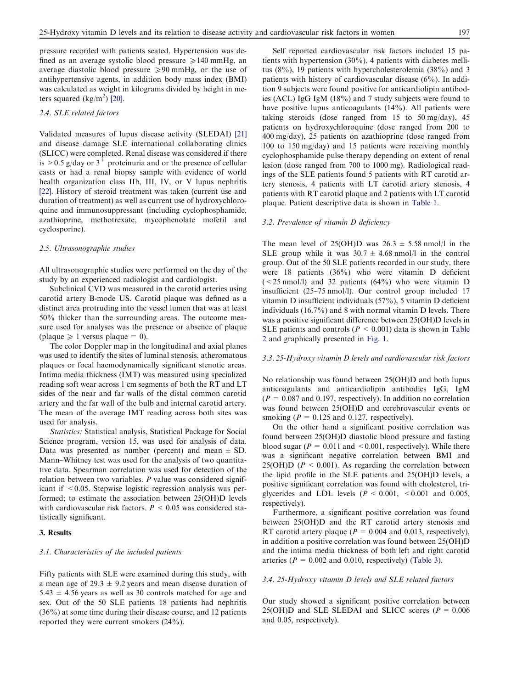pressure recorded with patients seated. Hypertension was defined as an average systolic blood pressure  $\geq 140$  mmHg, an average diastolic blood pressure  $\geq 90$  mmHg, or the use of antihypertensive agents, in addition body mass index (BMI) was calculated as weight in kilograms divided by height in meters squared  $(kg/m<sup>2</sup>)$  [\[20\]](#page-6-0).

# 2.4. SLE related factors

Validated measures of lupus disease activity (SLEDAI) [\[21\]](#page-6-0) and disease damage SLE international collaborating clinics (SLICC) were completed. Renal disease was considered if there is  $> 0.5$  g/day or 3<sup>+</sup> proteinuria and or the presence of cellular casts or had a renal biopsy sample with evidence of world health organization class IIb, III, IV, or V lupus nephritis [\[22\]](#page-6-0). History of steroid treatment was taken (current use and duration of treatment) as well as current use of hydroxychloroquine and immunosuppressant (including cyclophosphamide, azathioprine, methotrexate, mycophenolate mofetil and cyclosporine).

# 2.5. Ultrasonographic studies

All ultrasonographic studies were performed on the day of the study by an experienced radiologist and cardiologist.

Subclinical CVD was measured in the carotid arteries using carotid artery B-mode US. Carotid plaque was defined as a distinct area protruding into the vessel lumen that was at least 50% thicker than the surrounding areas. The outcome measure used for analyses was the presence or absence of plaque (plaque  $\geq 1$  versus plaque = 0).

The color Doppler map in the longitudinal and axial planes was used to identify the sites of luminal stenosis, atheromatous plaques or focal haemodynamically significant stenotic areas. Intima media thickness (IMT) was measured using specialized reading soft wear across 1 cm segments of both the RT and LT sides of the near and far walls of the distal common carotid artery and the far wall of the bulb and internal carotid artery. The mean of the average IMT reading across both sites was used for analysis.

Statistics: Statistical analysis, Statistical Package for Social Science program, version 15, was used for analysis of data. Data was presented as number (percent) and mean  $\pm$  SD. Mann–Whitney test was used for the analysis of two quantitative data. Spearman correlation was used for detection of the relation between two variables.  $P$  value was considered significant if <0.05. Stepwise logistic regression analysis was performed; to estimate the association between 25(OH)D levels with cardiovascular risk factors.  $P < 0.05$  was considered statistically significant.

# 3. Results

#### 3.1. Characteristics of the included patients

Fifty patients with SLE were examined during this study, with a mean age of  $29.3 \pm 9.2$  years and mean disease duration of  $5.43 \pm 4.56$  years as well as 30 controls matched for age and sex. Out of the 50 SLE patients 18 patients had nephritis (36%) at some time during their disease course, and 12 patients reported they were current smokers (24%).

Self reported cardiovascular risk factors included 15 patients with hypertension (30%), 4 patients with diabetes mellitus (8%), 19 patients with hypercholesterolemia (38%) and 3 patients with history of cardiovascular disease (6%). In addition 9 subjects were found positive for anticardiolipin antibodies (ACL) IgG IgM (18%) and 7 study subjects were found to have positive lupus anticoagulants (14%). All patients were taking steroids (dose ranged from 15 to 50 mg/day), 45 patients on hydroxychloroquine (dose ranged from 200 to 400 mg/day), 25 patients on azathioprine (dose ranged from 100 to 150 mg/day) and 15 patients were receiving monthly cyclophosphamide pulse therapy depending on extent of renal lesion (dose ranged from 700 to 1000 mg). Radiological readings of the SLE patients found 5 patients with RT carotid artery stenosis, 4 patients with LT carotid artery stenosis, 4 patients with RT carotid plaque and 2 patients with LT carotid plaque. Patient descriptive data is shown in [Table 1.](#page-3-0)

#### 3.2. Prevalence of vitamin D deficiency

The mean level of 25(OH)D was  $26.3 \pm 5.58$  nmol/l in the SLE group while it was  $30.7 \pm 4.68$  nmol/l in the control group. Out of the 50 SLE patients recorded in our study, there were 18 patients (36%) who were vitamin D deficient  $(< 25$  nmol/l) and 32 patients  $(64%)$  who were vitamin D insufficient (25–75 nmol/l). Our control group included 17 vitamin D insufficient individuals (57%), 5 vitamin D deficient individuals (16.7%) and 8 with normal vitamin D levels. There was a positive significant difference between 25(OH)D levels in SLE patients and controls ( $P < 0.001$ ) data is shown in [Table](#page-3-0) [2](#page-3-0) and graphically presented in [Fig. 1](#page-4-0).

#### 3.3. 25-Hydroxy vitamin D levels and cardiovascular risk factors

No relationship was found between 25(OH)D and both lupus anticoagulants and anticardiolipin antibodies IgG, IgM  $(P = 0.087$  and 0.197, respectively). In addition no correlation was found between 25(OH)D and cerebrovascular events or smoking ( $P = 0.125$  and 0.127, respectively).

On the other hand a significant positive correlation was found between 25(OH)D diastolic blood pressure and fasting blood sugar ( $P = 0.011$  and  $\le 0.001$ , respectively). While there was a significant negative correlation between BMI and 25(OH)D ( $P < 0.001$ ). As regarding the correlation between the lipid profile in the SLE patients and 25(OH)D levels, a positive significant correlation was found with cholesterol, triglycerides and LDL levels  $(P < 0.001, < 0.001$  and 0.005, respectively).

Furthermore, a significant positive correlation was found between 25(OH)D and the RT carotid artery stenosis and RT carotid artery plaque ( $P = 0.004$  and 0.013, respectively), in addition a positive correlation was found between 25(OH)D and the intima media thickness of both left and right carotid arteries ( $P = 0.002$  and 0.010, respectively) ([Table 3\)](#page-4-0).

## 3.4. 25-Hydroxy vitamin D levels and SLE related factors

Our study showed a significant positive correlation between 25(OH)D and SLE SLEDAI and SLICC scores ( $P = 0.006$ ) and 0.05, respectively).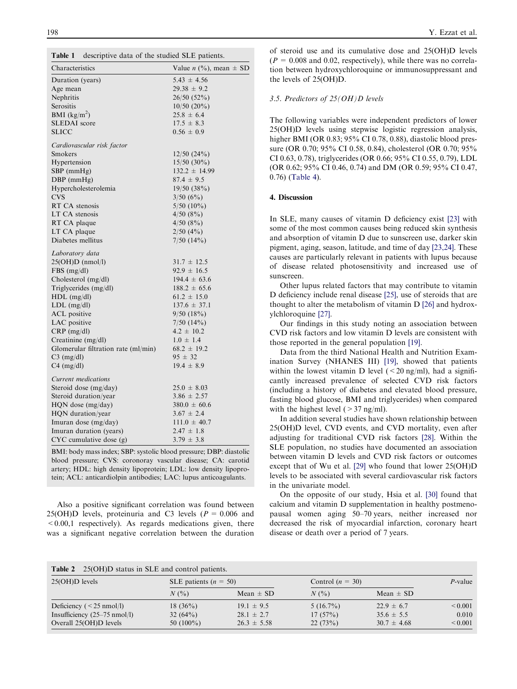<span id="page-3-0"></span>

| Table 1 |  |  |  | descriptive data of the studied SLE patients. |
|---------|--|--|--|-----------------------------------------------|
|---------|--|--|--|-----------------------------------------------|

| Characteristics                     | Value <i>n</i> $(\%)$ , mean $\pm$ SD |
|-------------------------------------|---------------------------------------|
| Duration (years)                    | $5.43 \pm 4.56$                       |
| Age mean                            | $29.38 \pm 9.2$                       |
| Nephritis                           | $26/50(52\%)$                         |
| Serositis                           | $10/50(20\%)$                         |
| <b>BMI</b> ( $\text{kg/m}^2$ )      | $25.8 \pm 6.4$                        |
| <b>SLEDAI</b> score                 | $17.5 \pm 8.3$                        |
| <b>SLICC</b>                        | $0.56 \pm 0.9$                        |
| Cardiovascular risk factor          |                                       |
| Smokers                             | $12/50$ (24%)                         |
| Hypertension                        | 15/50 (30%)                           |
| $SBP$ (mmHg)                        | $132.2 \pm 14.99$                     |
| $DBP$ (mmHg)                        | $87.4 \pm 9.5$                        |
| Hypercholesterolemia                | 19/50(38%)                            |
| <b>CVS</b>                          | 3/50(6%)                              |
| RT CA stenosis                      | $5/50(10\%)$                          |
| LT CA stenosis                      | 4/50(8%)                              |
| RT CA plaque                        | 4/50(8%)                              |
| LT CA plaque                        | 2/50(4%)                              |
| Diabetes mellitus                   | $7/50$ $(14\%)$                       |
| Laboratory data                     |                                       |
| $25(OH)D$ (nmol/l)                  | $31.7 \pm 12.5$                       |
| $FBS$ (mg/dl)                       | $92.9 \pm 16.5$                       |
| Cholesterol (mg/dl)                 | $194.4 \pm 63.6$                      |
| Triglycerides (mg/dl)               | $188.2 \pm 65.6$                      |
| $HDL$ (mg/dl)                       | $61.2 \pm 15.0$                       |
| $LDL$ (mg/dl)                       | $137.6 \pm 37.1$                      |
| <b>ACL</b> positive                 | 9/50(18%)                             |
| LAC positive                        | $7/50$ $(14\%)$                       |
| $CRP$ (mg/dl)                       | $4.2 \pm 10.2$                        |
| Creatinine (mg/dl)                  | $1.0 \pm 1.4$                         |
| Glomerular filtration rate (ml/min) | $68.2 \pm 19.2$                       |
| $C3$ (mg/dl)                        | $95 \pm 32$                           |
| $C4$ (mg/dl)                        | $19.4 \pm 8.9$                        |
| Current medications                 |                                       |
| Steroid dose (mg/day)               | $25.0 \pm 8.03$                       |
| Steroid duration/year               | $3.86 \pm 2.57$                       |
| HQN dose (mg/day)                   | $380.0 \pm 60.6$                      |
| HQN duration/year                   | $3.67 \pm 2.4$                        |
| Imuran dose (mg/day)                | $111.0 \pm 40.7$                      |
| Imuran duration (years)             | $2.47 \pm 1.8$                        |
| $CYC$ cumulative dose $(g)$         | $3.79 \pm 3.8$                        |
|                                     |                                       |

BMI: body mass index; SBP: systolic blood pressure; DBP: diastolic blood pressure; CVS: coronoray vascular disease; CA: carotid artery; HDL: high density lipoprotein; LDL: low density lipoprotein; ACL: anticardiolpin antibodies; LAC: lupus anticoagulants.

Also a positive significant correlation was found between 25(OH)D levels, proteinuria and C3 levels ( $P = 0.006$  and  $\leq 0.00,1$  respectively). As regards medications given, there was a significant negative correlation between the duration of steroid use and its cumulative dose and 25(OH)D levels  $(P = 0.008$  and 0.02, respectively), while there was no correlation between hydroxychloroquine or immunosuppressant and the levels of 25(OH)D.

# 3.5. Predictors of 25(OH)D levels

The following variables were independent predictors of lower 25(OH)D levels using stepwise logistic regression analysis, higher BMI (OR 0.83; 95% CI 0.78, 0.88), diastolic blood pressure (OR 0.70; 95% CI 0.58, 0.84), cholesterol (OR 0.70; 95% CI 0.63, 0.78), triglycerides (OR 0.66; 95% CI 0.55, 0.79), LDL (OR 0.62; 95% CI 0.46, 0.74) and DM (OR 0.59; 95% CI 0.47, 0.76) ([Table 4\)](#page-4-0).

#### 4. Discussion

In SLE, many causes of vitamin D deficiency exist [\[23\]](#page-6-0) with some of the most common causes being reduced skin synthesis and absorption of vitamin D due to sunscreen use, darker skin pigment, aging, season, latitude, and time of day [\[23,24\].](#page-6-0) These causes are particularly relevant in patients with lupus because of disease related photosensitivity and increased use of sunscreen.

Other lupus related factors that may contribute to vitamin D deficiency include renal disease [\[25\],](#page-6-0) use of steroids that are thought to alter the metabolism of vitamin D [\[26\]](#page-6-0) and hydroxylchloroquine [\[27\]](#page-6-0).

Our findings in this study noting an association between CVD risk factors and low vitamin D levels are consistent with those reported in the general population [\[19\]](#page-6-0).

Data from the third National Health and Nutrition Examination Survey (NHANES III) [\[19\],](#page-6-0) showed that patients within the lowest vitamin D level  $\left($  < 20 ng/ml), had a significantly increased prevalence of selected CVD risk factors (including a history of diabetes and elevated blood pressure, fasting blood glucose, BMI and triglycerides) when compared with the highest level  $(>37 \text{ ng/ml})$ .

In addition several studies have shown relationship between 25(OH)D level, CVD events, and CVD mortality, even after adjusting for traditional CVD risk factors [\[28\].](#page-6-0) Within the SLE population, no studies have documented an association between vitamin D levels and CVD risk factors or outcomes except that of Wu et al. [\[29\]](#page-6-0) who found that lower 25(OH)D levels to be associated with several cardiovascular risk factors in the univariate model.

On the opposite of our study, Hsia et al. [\[30\]](#page-6-0) found that calcium and vitamin D supplementation in healthy postmenopausal women aging 50–70 years, neither increased nor decreased the risk of myocardial infarction, coronary heart disease or death over a period of 7 years.

| Table 2 | 25(OH)D status in SLE and control patients. |  |  |  |  |
|---------|---------------------------------------------|--|--|--|--|
|---------|---------------------------------------------|--|--|--|--|

| $25(OH)D$ levels                       | SLE patients $(n = 50)$ |                 | Control $(n = 30)$ |                 | $P$ -value   |
|----------------------------------------|-------------------------|-----------------|--------------------|-----------------|--------------|
|                                        | $N($ %)                 | Mean $\pm$ SD   | $N($ %)            | Mean $\pm$ SD   |              |
| Deficiency $(< 25 \text{ nmol/l})$     | $18(36\%)$              | $19.1 \pm 9.5$  | $5(16.7\%)$        | $22.9 \pm 6.7$  | ${}_{0.001}$ |
| Insufficiency $(25-75 \text{ nmol/l})$ | 32 $(64\%)$             | $28.1 \pm 2.7$  | 17(57%)            | $35.6 \pm 5.5$  | 0.010        |
| Overall 25(OH)D levels                 | 50 $(100\%)$            | $26.3 \pm 5.58$ | 22(73%)            | $30.7 \pm 4.68$ | ${}_{0.001}$ |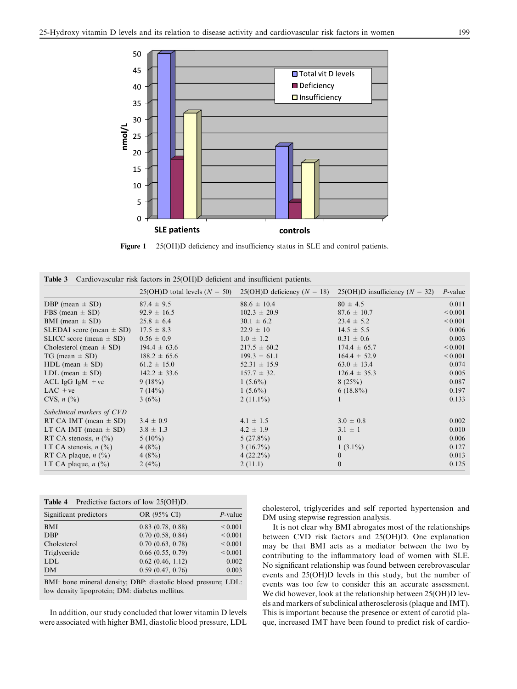<span id="page-4-0"></span>

Figure 1 25(OH)D deficiency and insufficiency status in SLE and control patients.

|  | <b>Table 3</b> Cardiovascular risk factors in 25(OH)D deficient and insufficient patients. |  |  |  |  |  |  |  |  |  |
|--|--------------------------------------------------------------------------------------------|--|--|--|--|--|--|--|--|--|
|--|--------------------------------------------------------------------------------------------|--|--|--|--|--|--|--|--|--|

|                                     | $25(OH)D$ total levels $(N = 50)$ | $25(OH)D$ deficiency $(N = 18)$ | 25(OH)D insufficiency ( $N = 32$ ) | $P$ -value   |
|-------------------------------------|-----------------------------------|---------------------------------|------------------------------------|--------------|
| DBP (mean $\pm$ SD)                 | $87.4 \pm 9.5$                    | $88.6 \pm 10.4$                 | $80 \pm 4.5$                       | 0.011        |
| FBS (mean $\pm$ SD)                 | $92.9 \pm 16.5$                   | $102.3 \pm 20.9$                | $87.6 \pm 10.7$                    | ${}_{0.001}$ |
| BMI (mean $\pm$ SD)                 | $25.8 \pm 6.4$                    | $30.1 \pm 6.2$                  | $23.4 \pm 5.2$                     | ${}_{0.001}$ |
| SLEDAI score (mean $\pm$ SD)        | $17.5 \pm 8.3$                    | $22.9 \pm 10$                   | $14.5 \pm 5.5$                     | 0.006        |
| SLICC score (mean $\pm$ SD)         | $0.56 \pm 0.9$                    | $1.0 \pm 1.2$                   | $0.31 \pm 0.6$                     | 0.003        |
| Cholesterol (mean $\pm$ SD)         | $194.4 \pm 63.6$                  | $217.5 \pm 60.2$                | $174.4 \pm 65.7$                   | ${}_{0.001}$ |
| $TG \text{ (mean } \pm SD)$         | $188.2 \pm 65.6$                  | $199.3 + 61.1$                  | $164.4 + 52.9$                     | ${}_{0.001}$ |
| HDL (mean $\pm$ SD)                 | $61.2 \pm 15.0$                   | $52.31 \pm 15.9$                | $63.0 \pm 13.4$                    | 0.074        |
| LDL (mean $\pm$ SD)                 | $142.2 \pm 33.6$                  | $157.7 \pm 32.$                 | $126.4 \pm 35.3$                   | 0.005        |
| ACL IgG IgM $+ve$                   | 9(18%)                            | $1(5.6\%)$                      | 8(25%)                             | 0.087        |
| $LAC + ve$                          | 7(14%)                            | $1(5.6\%)$                      | $6(18.8\%)$                        | 0.197        |
| CVS, $n$ $\left(\frac{9}{6}\right)$ | 3(6%)                             | $2(11.1\%)$                     |                                    | 0.133        |
| Subclinical markers of CVD          |                                   |                                 |                                    |              |
| RT CA IMT (mean $\pm$ SD)           | $3.4 \pm 0.9$                     | $4.1 \pm 1.5$                   | $3.0 \pm 0.8$                      | 0.002        |
| LT CA IMT (mean $\pm$ SD)           | $3.8 \pm 1.3$                     | $4.2 \pm 1.9$                   | $3.1 \pm 1$                        | 0.010        |
| RT CA stenosis, $n$ (%)             | $5(10\%)$                         | $5(27.8\%)$                     | $\overline{0}$                     | 0.006        |
| LT CA stenosis, $n$ (%)             | $4(8\%)$                          | $3(16.7\%)$                     | $1(3.1\%)$                         | 0.127        |
| RT CA plaque, $n$ (%)               | $4(8\%)$                          | $4(22.2\%)$                     | $\mathbf{0}$                       | 0.013        |
| LT CA plaque, $n$ (%)               | 2(4%)                             | 2(11.1)                         | $\mathbf{0}$                       | 0.125        |
|                                     |                                   |                                 |                                    |              |

| Table 4                | Predictive factors of low 25(OH)D. |              |
|------------------------|------------------------------------|--------------|
| Significant predictors | OR (95% CI)                        | $P$ -value   |
| <b>BMI</b>             | $0.83$ $(0.78, 0.88)$              | ${}_{0.001}$ |
| <b>DBP</b>             | 0.70(0.58, 0.84)                   | ${}_{0.001}$ |
| Cholesterol            | 0.70(0.63, 0.78)                   | ${}_{0.001}$ |
| Triglyceride           | $0.66$ $(0.55, 0.79)$              | ${}_{0.001}$ |
| <b>LDL</b>             | $0.62$ $(0.46, 1.12)$              | 0.002        |
| <b>DM</b>              | 0.59(0.47, 0.76)                   | 0.003        |
|                        |                                    |              |

BMI: bone mineral density; DBP: diastolic blood pressure; LDL: low density lipoprotein; DM: diabetes mellitus.

In addition, our study concluded that lower vitamin D levels were associated with higher BMI, diastolic blood pressure, LDL cholesterol, triglycerides and self reported hypertension and DM using stepwise regression analysis.

It is not clear why BMI abrogates most of the relationships between CVD risk factors and 25(OH)D. One explanation may be that BMI acts as a mediator between the two by contributing to the inflammatory load of women with SLE. No significant relationship was found between cerebrovascular events and 25(OH)D levels in this study, but the number of events was too few to consider this an accurate assessment. We did however, look at the relationship between 25(OH)D levels and markers of subclinical atherosclerosis (plaque and IMT). This is important because the presence or extent of carotid plaque, increased IMT have been found to predict risk of cardio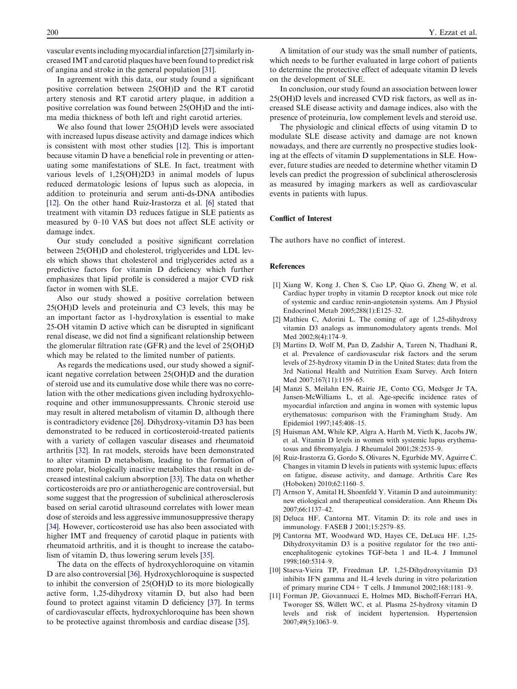<span id="page-5-0"></span>vascular events including myocardial infarction [\[27\]](#page-6-0)similarly increased IMT and carotid plaques have been found to predict risk of angina and stroke in the general population [\[31\].](#page-6-0)

In agreement with this data, our study found a significant positive correlation between 25(OH)D and the RT carotid artery stenosis and RT carotid artery plaque, in addition a positive correlation was found between 25(OH)D and the intima media thickness of both left and right carotid arteries.

We also found that lower 25(OH)D levels were associated with increased lupus disease activity and damage indices which is consistent with most other studies [\[12\]](#page-6-0). This is important because vitamin D have a beneficial role in preventing or attenuating some manifestations of SLE. In fact, treatment with various levels of 1,25(OH)2D3 in animal models of lupus reduced dermatologic lesions of lupus such as alopecia, in addition to proteinuria and serum anti-ds-DNA antibodies [\[12\].](#page-6-0) On the other hand Ruiz-Irastorza et al. [6] stated that treatment with vitamin D3 reduces fatigue in SLE patients as measured by 0–10 VAS but does not affect SLE activity or damage index.

Our study concluded a positive significant correlation between 25(OH)D and cholesterol, triglycerides and LDL levels which shows that cholesterol and triglycerides acted as a predictive factors for vitamin D deficiency which further emphasizes that lipid profile is considered a major CVD risk factor in women with SLE.

Also our study showed a positive correlation between 25(OH)D levels and proteinuria and C3 levels, this may be an important factor as 1-hydroxylation is essential to make 25-OH vitamin D active which can be disrupted in significant renal disease, we did not find a significant relationship between the glomerular filtration rate (GFR) and the level of 25(OH)D which may be related to the limited number of patients.

As regards the medications used, our study showed a significant negative correlation between 25(OH)D and the duration of steroid use and its cumulative dose while there was no correlation with the other medications given including hydroxychloroquine and other immunosuppressants. Chronic steroid use may result in altered metabolism of vitamin D, although there is contradictory evidence [\[26\].](#page-6-0) Dihydroxy-vitamin D3 has been demonstrated to be reduced in corticosteroid-treated patients with a variety of collagen vascular diseases and rheumatoid arthritis [\[32\]](#page-6-0). In rat models, steroids have been demonstrated to alter vitamin D metabolism, leading to the formation of more polar, biologically inactive metabolites that result in decreased intestinal calcium absorption [\[33\].](#page-6-0) The data on whether corticosteroids are pro or antiatherogenic are controversial, but some suggest that the progression of subclinical atherosclerosis based on serial carotid ultrasound correlates with lower mean dose of steroids and less aggressive immunosuppressive therapy [\[34\].](#page-6-0) However, corticosteroid use has also been associated with higher IMT and frequency of carotid plaque in patients with rheumatoid arthritis, and it is thought to increase the catabolism of vitamin D, thus lowering serum levels [\[35\].](#page-6-0)

The data on the effects of hydroxychloroquine on vitamin D are also controversial [\[36\]](#page-6-0). Hydroxychloroquine is suspected to inhibit the conversion of 25(OH)D to its more biologically active form, 1,25-dihydroxy vitamin D, but also had been found to protect against vitamin D deficiency [\[37\]](#page-6-0). In terms of cardiovascular effects, hydroxychloroquine has been shown to be protective against thrombosis and cardiac disease [\[35\]](#page-6-0).

A limitation of our study was the small number of patients, which needs to be further evaluated in large cohort of patients to determine the protective effect of adequate vitamin D levels on the development of SLE.

In conclusion, our study found an association between lower 25(OH)D levels and increased CVD risk factors, as well as increased SLE disease activity and damage indices, also with the presence of proteinuria, low complement levels and steroid use.

The physiologic and clinical effects of using vitamin D to modulate SLE disease activity and damage are not known nowadays, and there are currently no prospective studies looking at the effects of vitamin D supplementations in SLE. However, future studies are needed to determine whether vitamin D levels can predict the progression of subclinical atherosclerosis as measured by imaging markers as well as cardiovascular events in patients with lupus.

# Conflict of Interest

The authors have no conflict of interest.

# References

- [1] Xiang W, Kong J, Chen S, Cao LP, Qiao G, Zheng W, et al. Cardiac hyper trophy in vitamin D receptor knock out mice role of systemic and cardiac renin-angiotensin systems. Am J Physiol Endocrinol Metab 2005;288(1):E125–32.
- [2] Mathieu C, Adorini L. The coming of age of 1,25-dihydroxy vitamin D3 analogs as immunomodulatory agents trends. Mol Med 2002;8(4):174–9.
- [3] Martins D, Wolf M, Pan D, Zadshir A, Tareen N, Thadhani R, et al. Prevalence of cardiovascular risk factors and the serum levels of 25-hydroxy vitamin D in the United States: data from the 3rd National Health and Nutrition Exam Survey. Arch Intern Med 2007;167(11):1159-65.
- [4] Manzi S, Meilahn EN, Rairie JE, Conto CG, Medsger Jr TA, Jansen-McWilliams L, et al. Age-specific incidence rates of myocardial infarction and angina in women with systemic lupus erythematosus: comparison with the Framingham Study. Am Epidemiol 1997;145:408–15.
- [5] Huisman AM, While KP, Algra A, Harth M, Vieth K, Jacobs JW, et al. Vitamin D levels in women with systemic lupus erythematosus and fibromyalgia. J Rheumalol 2001;28:2535–9.
- [6] Ruiz-Irastorza G, Gordo S, Olivares N, Egurbide MV, Aguirre C. Changes in vitamin D levels in patients with systemic lupus: effects on fatigue, disease activity, and damage. Arthritis Care Res (Hoboken) 2010;62:1160–5.
- [7] Arnson Y, Amital H, Shoenfeld Y. Vitamin D and autoimmunity: new etiological and therapeutical consideration. Ann Rheum Dis 2007;66:1137–42.
- [8] Deluca HF, Cantorna MT. Vitamin D: its role and uses in immunology. FASEB J 2001;15:2579–85.
- [9] Cantorna MT, Woodward WD, Hayes CE, DeLuca HF. 1,25- Dihydroxyvitamin D3 is a positive regulator for the two antiencephalitogenic cytokines TGF-beta 1 and IL-4. J Immunol 1998;160:5314–9.
- [10] Staeva-Vieira TP, Freedman LP. 1,25-Dihydroxyvitamin D3 inhibits IFN gamma and IL-4 levels during in vitro polarization of primary murine CD4+ T cells. J Immunol 2002;168:1181–9.
- [11] Forman JP, Giovannucci E, Holmes MD, Bischoff-Ferrari HA, Tworoger SS, Willett WC, et al. Plasma 25-hydroxy vitamin D levels and risk of incident hypertension. Hypertension 2007;49(5):1063–9.